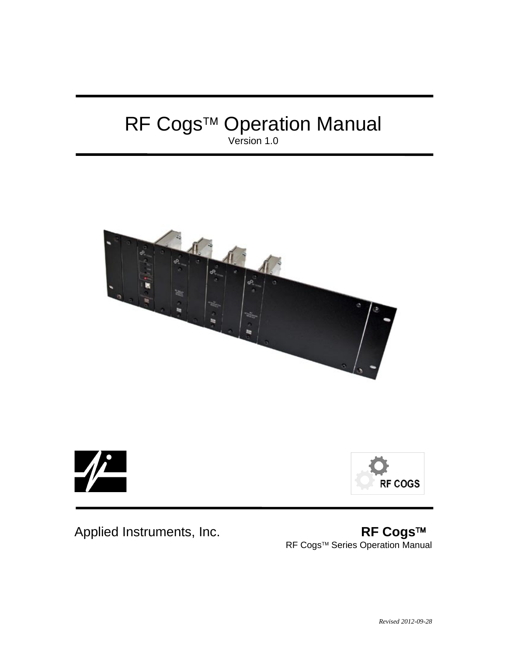## RF Cogs™ Operation Manual Version 1.0







Applied Instruments, Inc. **RF Cogs**™ RF Cogs™ Series Operation Manual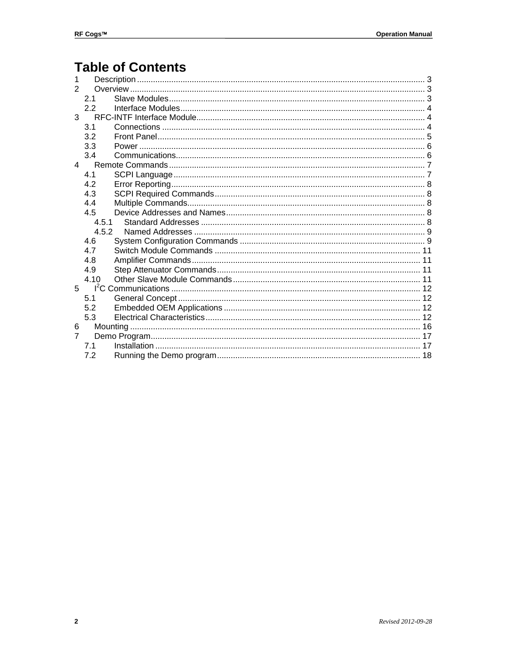## **Table of Contents**

| 1              |             |  |
|----------------|-------------|--|
| 2              |             |  |
|                | 2.1         |  |
|                | 2.2         |  |
| $3^{\circ}$    |             |  |
|                | 3.1         |  |
|                | 3.2         |  |
|                | 3.3         |  |
|                | 3.4         |  |
| $\overline{4}$ |             |  |
|                | 4.1         |  |
|                | 4.2         |  |
|                | 4.3         |  |
|                | 4.4         |  |
|                | 4.5         |  |
|                | 4.5.1       |  |
|                | 4.5.2       |  |
|                | 4.6         |  |
|                | 4.7         |  |
|                | 4.8         |  |
|                | 4.9         |  |
|                | 4.10        |  |
|                | $5^{\circ}$ |  |
|                | 5.1         |  |
|                | 5.2         |  |
|                | 5.3         |  |
| 6              |             |  |
| $\overline{7}$ |             |  |
|                | 71          |  |
|                | 7.2         |  |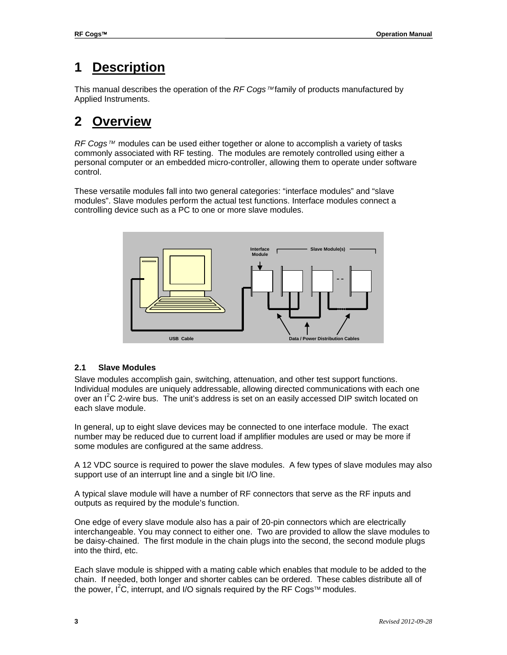## **1 Description**

This manual describes the operation of the  $RF$  *Cogs*  $M$  family of products manufactured by Applied Instruments.

## **2 Overview**

*RF Cogs™* modules can be used either together or alone to accomplish a variety of tasks commonly associated with RF testing. The modules are remotely controlled using either a personal computer or an embedded micro-controller, allowing them to operate under software control.

These versatile modules fall into two general categories: "interface modules" and "slave modules". Slave modules perform the actual test functions. Interface modules connect a controlling device such as a PC to one or more slave modules.



## **2.1 Slave Modules**

Slave modules accomplish gain, switching, attenuation, and other test support functions. Individual modules are uniquely addressable, allowing directed communications with each one over an I<sup>2</sup>C 2-wire bus. The unit's address is set on an easily accessed DIP switch located on each slave module.

In general, up to eight slave devices may be connected to one interface module. The exact number may be reduced due to current load if amplifier modules are used or may be more if some modules are configured at the same address.

A 12 VDC source is required to power the slave modules. A few types of slave modules may also support use of an interrupt line and a single bit I/O line.

A typical slave module will have a number of RF connectors that serve as the RF inputs and outputs as required by the module's function.

One edge of every slave module also has a pair of 20-pin connectors which are electrically interchangeable. You may connect to either one. Two are provided to allow the slave modules to be daisy-chained. The first module in the chain plugs into the second, the second module plugs into the third, etc.

Each slave module is shipped with a mating cable which enables that module to be added to the chain. If needed, both longer and shorter cables can be ordered. These cables distribute all of the power,  $I^2C$ , interrupt, and I/O signals required by the RF Cogs<sup> $tau$ </sup> modules.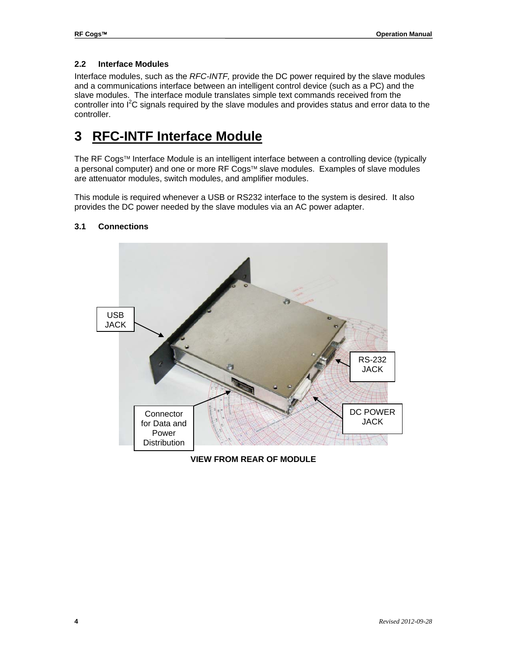## **2.2 Interface Modules**

Interface modules, such as the *RFC-INTF,* provide the DC power required by the slave modules and a communications interface between an intelligent control device (such as a PC) and the slave modules. The interface module translates simple text commands received from the controller into  $I^2C$  signals required by the slave modules and provides status and error data to the controller.

## **3 RFC-INTF Interface Module**

The RF Cogs™ Interface Module is an intelligent interface between a controlling device (typically a personal computer) and one or more RF Cogs™ slave modules. Examples of slave modules are attenuator modules, switch modules, and amplifier modules.

This module is required whenever a USB or RS232 interface to the system is desired. It also provides the DC power needed by the slave modules via an AC power adapter.



## **3.1 Connections**

**VIEW FROM REAR OF MODULE**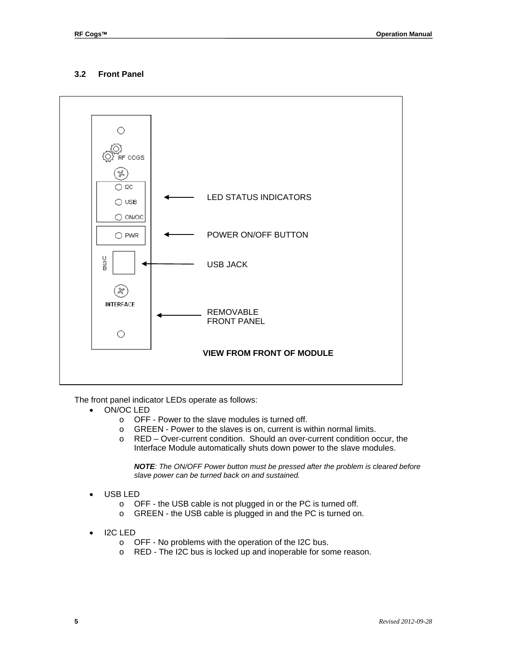## **3.2 Front Panel**



The front panel indicator LEDs operate as follows:

- ON/OC LED
	- o OFF Power to the slave modules is turned off.
	- o GREEN Power to the slaves is on, current is within normal limits.
	- o RED Over-current condition. Should an over-current condition occur, the Interface Module automatically shuts down power to the slave modules.

*NOTE: The ON/OFF Power button must be pressed after the problem is cleared before slave power can be turned back on and sustained.*

- USB LED
	- o OFF the USB cable is not plugged in or the PC is turned off.
	- o GREEN the USB cable is plugged in and the PC is turned on.
- I2C LED
	- o OFF No problems with the operation of the I2C bus.
	- o RED The I2C bus is locked up and inoperable for some reason.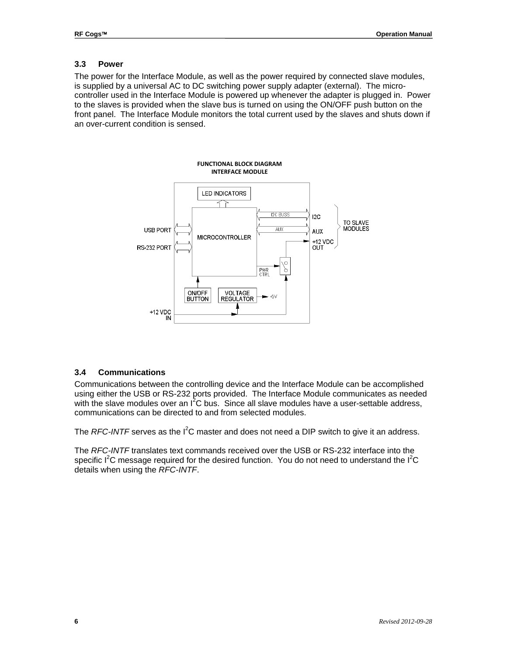#### **3.3 Power**

The power for the Interface Module, as well as the power required by connected slave modules, is supplied by a universal AC to DC switching power supply adapter (external). The microcontroller used in the Interface Module is powered up whenever the adapter is plugged in. Power to the slaves is provided when the slave bus is turned on using the ON/OFF push button on the front panel. The Interface Module monitors the total current used by the slaves and shuts down if an over-current condition is sensed.



#### **3.4 Communications**

Communications between the controlling device and the Interface Module can be accomplished using either the USB or RS-232 ports provided. The Interface Module communicates as needed with the slave modules over an  $I^2C$  bus. Since all slave modules have a user-settable address, communications can be directed to and from selected modules.

The *RFC-INTF* serves as the I<sup>2</sup>C master and does not need a DIP switch to give it an address.

The *RFC-INTF* translates text commands received over the USB or RS-232 interface into the specific  $I^2C$  message required for the desired function. You do not need to understand the  $I^2C$ details when using the *RFC-INTF*.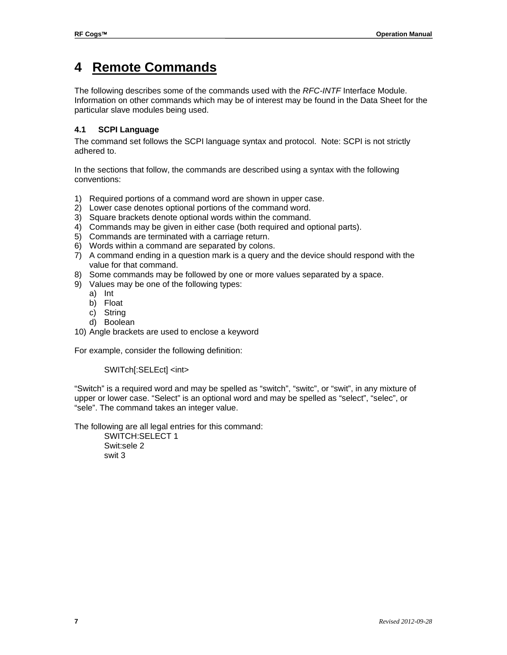## **4 Remote Commands**

The following describes some of the commands used with the *RFC-INTF* Interface Module. Information on other commands which may be of interest may be found in the Data Sheet for the particular slave modules being used.

## **4.1 SCPI Language**

The command set follows the SCPI language syntax and protocol. Note: SCPI is not strictly adhered to.

In the sections that follow, the commands are described using a syntax with the following conventions:

- 1) Required portions of a command word are shown in upper case.
- 2) Lower case denotes optional portions of the command word.
- 3) Square brackets denote optional words within the command.
- 4) Commands may be given in either case (both required and optional parts).
- 5) Commands are terminated with a carriage return.
- 6) Words within a command are separated by colons.
- 7) A command ending in a question mark is a query and the device should respond with the value for that command.
- 8) Some commands may be followed by one or more values separated by a space.
- 9) Values may be one of the following types:
	- a) Int
	- b) Float
	- c) String
	- d) Boolean
- 10) Angle brackets are used to enclose a keyword

For example, consider the following definition:

## SWITch[:SELEct] <int>

"Switch" is a required word and may be spelled as "switch", "switc", or "swit", in any mixture of upper or lower case. "Select" is an optional word and may be spelled as "select", "selec", or "sele". The command takes an integer value.

The following are all legal entries for this command:

SWITCH:SELECT 1 Swit:sele 2 swit 3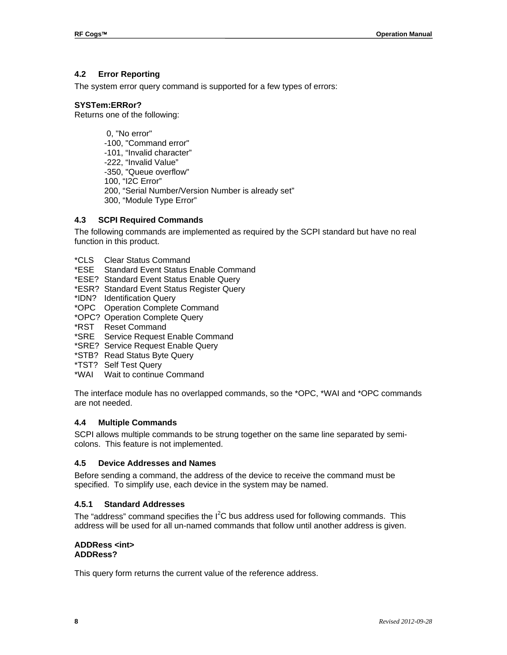## **4.2 Error Reporting**

The system error query command is supported for a few types of errors:

## **SYSTem:ERRor?**

Returns one of the following:

0, "No error" -100, "Command error" -101, "Invalid character" -222, "Invalid Value" -350, "Queue overflow" 100, "I2C Error" 200, "Serial Number/Version Number is already set" 300, "Module Type Error"

#### **4.3 SCPI Required Commands**

The following commands are implemented as required by the SCPI standard but have no real function in this product.

- \*CLS Clear Status Command
- \*ESE Standard Event Status Enable Command
- \*ESE? Standard Event Status Enable Query
- \*ESR? Standard Event Status Register Query
- \*IDN? Identification Query
- \*OPC Operation Complete Command
- \*OPC? Operation Complete Query
- \*RST Reset Command
- \*SRE Service Request Enable Command
- \*SRE? Service Request Enable Query
- \*STB? Read Status Byte Query
- \*TST? Self Test Query
- \*WAI Wait to continue Command

The interface module has no overlapped commands, so the \*OPC, \*WAI and \*OPC commands are not needed.

#### **4.4 Multiple Commands**

SCPI allows multiple commands to be strung together on the same line separated by semicolons. This feature is not implemented.

#### **4.5 Device Addresses and Names**

Before sending a command, the address of the device to receive the command must be specified. To simplify use, each device in the system may be named.

#### **4.5.1 Standard Addresses**

The "address" command specifies the  $I^2C$  bus address used for following commands. This address will be used for all un-named commands that follow until another address is given.

#### **ADDRess <int> ADDRess?**

This query form returns the current value of the reference address.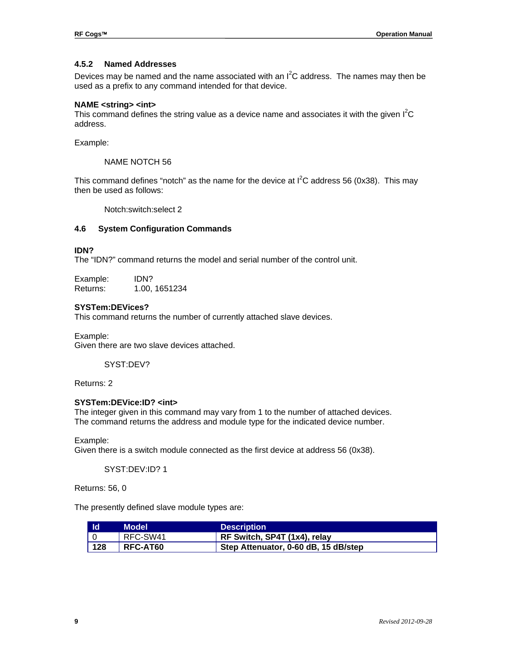## **4.5.2 Named Addresses**

Devices may be named and the name associated with an  $I^2C$  address. The names may then be used as a prefix to any command intended for that device.

#### **NAME <string> <int>**

This command defines the string value as a device name and associates it with the given  $I^2C$ address.

Example:

NAME NOTCH 56

This command defines "notch" as the name for the device at  $I^2C$  address 56 (0x38). This may then be used as follows:

Notch:switch:select 2

#### **4.6 System Configuration Commands**

#### **IDN?**

The "IDN?" command returns the model and serial number of the control unit.

Example: IDN? Returns: 1.00, 1651234

#### **SYSTem:DEVices?**

This command returns the number of currently attached slave devices.

Example: Given there are two slave devices attached.

SYST:DEV?

Returns: 2

#### **SYSTem:DEVice:ID? <int>**

The integer given in this command may vary from 1 to the number of attached devices. The command returns the address and module type for the indicated device number.

Example:

Given there is a switch module connected as the first device at address 56 (0x38).

SYST:DEV:ID? 1

Returns: 56, 0

The presently defined slave module types are:

| <b>Id</b> | <b>Model</b>    | <b>Description</b>                   |
|-----------|-----------------|--------------------------------------|
|           | RFC-SW41        | RF Switch, SP4T (1x4), relay         |
| 128       | <b>RFC-AT60</b> | Step Attenuator, 0-60 dB, 15 dB/step |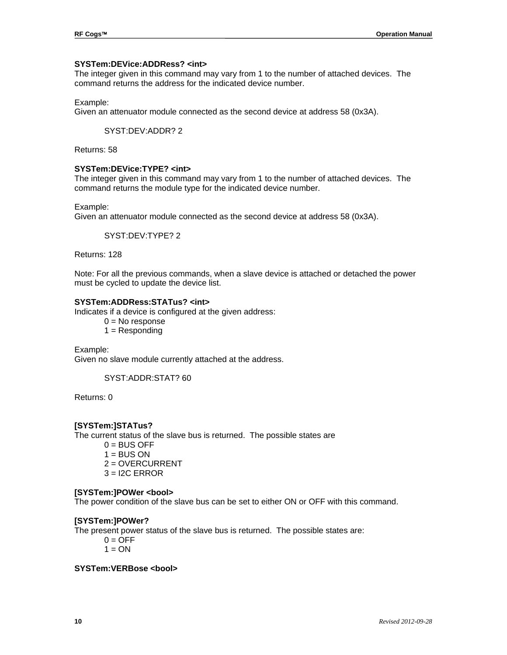#### **SYSTem:DEVice:ADDRess? <int>**

The integer given in this command may vary from 1 to the number of attached devices. The command returns the address for the indicated device number.

#### Example:

Given an attenuator module connected as the second device at address 58 (0x3A).

SYST:DEV:ADDR? 2

Returns: 58

#### **SYSTem:DEVice:TYPE? <int>**

The integer given in this command may vary from 1 to the number of attached devices. The command returns the module type for the indicated device number.

#### Example:

Given an attenuator module connected as the second device at address 58 (0x3A).

SYST:DEV:TYPE? 2

Returns: 128

Note: For all the previous commands, when a slave device is attached or detached the power must be cycled to update the device list.

## **SYSTem:ADDRess:STATus? <int>**

Indicates if a device is configured at the given address:

- $0 = No$  response
- $1 =$  Responding

Example: Given no slave module currently attached at the address.

SYST:ADDR:STAT? 60

Returns: 0

#### **[SYSTem:]STATus?**

The current status of the slave bus is returned. The possible states are

- $0 = BUS$  OFF  $1 = BUS ON$ 2 = OVERCURRENT
- $3 = 12C$  ERROR

#### **[SYSTem:]POWer <bool>**

The power condition of the slave bus can be set to either ON or OFF with this command.

#### **[SYSTem:]POWer?**

The present power status of the slave bus is returned. The possible states are:

- $0 = \text{OFF}$
- $1 = ON$

## **SYSTem:VERBose <bool>**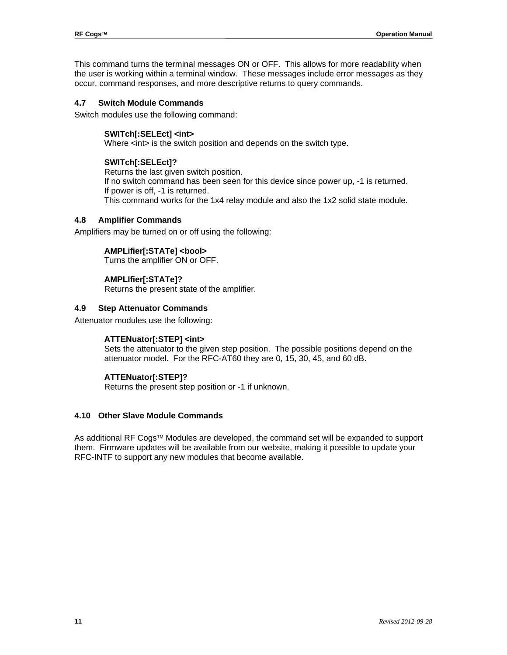This command turns the terminal messages ON or OFF. This allows for more readability when the user is working within a terminal window. These messages include error messages as they occur, command responses, and more descriptive returns to query commands.

### **4.7 Switch Module Commands**

Switch modules use the following command:

#### **SWITch[:SELEct] <int>**

Where <int> is the switch position and depends on the switch type.

#### **SWITch[:SELEct]?**

Returns the last given switch position. If no switch command has been seen for this device since power up, -1 is returned. If power is off, -1 is returned. This command works for the 1x4 relay module and also the 1x2 solid state module.

#### **4.8 Amplifier Commands**

Amplifiers may be turned on or off using the following:

## **AMPLifier[:STATe] <bool>**

Turns the amplifier ON or OFF.

## **AMPLIfier[:STATe]?**

Returns the present state of the amplifier.

#### **4.9 Step Attenuator Commands**

Attenuator modules use the following:

## **ATTENuator[:STEP] <int>**

Sets the attenuator to the given step position. The possible positions depend on the attenuator model. For the RFC-AT60 they are 0, 15, 30, 45, and 60 dB.

## **ATTENuator[:STEP]?**

Returns the present step position or -1 if unknown.

## **4.10 Other Slave Module Commands**

As additional RF Cogs™ Modules are developed, the command set will be expanded to support them. Firmware updates will be available from our website, making it possible to update your RFC-INTF to support any new modules that become available.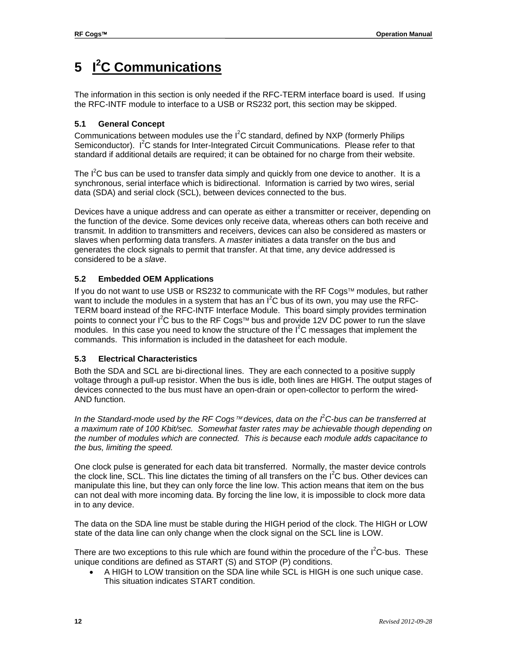# **5 I 2 C Communications**

The information in this section is only needed if the RFC-TERM interface board is used. If using the RFC-INTF module to interface to a USB or RS232 port, this section may be skipped.

## **5.1 General Concept**

Communications between modules use the  $I^2C$  standard, defined by NXP (formerly Philips Semiconductor). I<sup>2</sup>C stands for Inter-Integrated Circuit Communications. Please refer to that standard if additional details are required; it can be obtained for no charge from their website.

The  $I^2C$  bus can be used to transfer data simply and quickly from one device to another. It is a synchronous, serial interface which is bidirectional. Information is carried by two wires, serial data (SDA) and serial clock (SCL), between devices connected to the bus.

Devices have a unique address and can operate as either a transmitter or receiver, depending on the function of the device. Some devices only receive data, whereas others can both receive and transmit. In addition to transmitters and receivers, devices can also be considered as masters or slaves when performing data transfers. A *master* initiates a data transfer on the bus and generates the clock signals to permit that transfer. At that time, any device addressed is considered to be a *slave*.

## **5.2 Embedded OEM Applications**

If you do not want to use USB or RS232 to communicate with the RF Cogs<sup> $M$ </sup> modules, but rather want to include the modules in a system that has an  $I^2C$  bus of its own, you may use the RFC-TERM board instead of the RFC-INTF Interface Module. This board simply provides termination points to connect your I<sup>2</sup>C bus to the RF Cogs<sup> $m$ </sup> bus and provide 12V DC power to run the slave modules. In this case you need to know the structure of the  $I<sup>2</sup>C$  messages that implement the commands. This information is included in the datasheet for each module.

## **5.3 Electrical Characteristics**

Both the SDA and SCL are bi-directional lines. They are each connected to a positive supply voltage through a pull-up resistor. When the bus is idle, both lines are HIGH. The output stages of devices connected to the bus must have an open-drain or open-collector to perform the wired-AND function.

*In the Standard-mode used by the RF Cogs™ devices, data on the <sup><i>f*</sup> C-bus can be transferred at *a maximum rate of 100 Kbit/sec. Somewhat faster rates may be achievable though depending on the number of modules which are connected. This is because each module adds capacitance to the bus, limiting the speed.*

One clock pulse is generated for each data bit transferred. Normally, the master device controls the clock line, SCL. This line dictates the timing of all transfers on the  $I^2C$  bus. Other devices can manipulate this line, but they can only force the line low. This action means that item on the bus can not deal with more incoming data. By forcing the line low, it is impossible to clock more data in to any device.

The data on the SDA line must be stable during the HIGH period of the clock. The HIGH or LOW state of the data line can only change when the clock signal on the SCL line is LOW.

There are two exceptions to this rule which are found within the procedure of the  $I^2C$ -bus. These unique conditions are defined as START (S) and STOP (P) conditions.

• A HIGH to LOW transition on the SDA line while SCL is HIGH is one such unique case. This situation indicates START condition.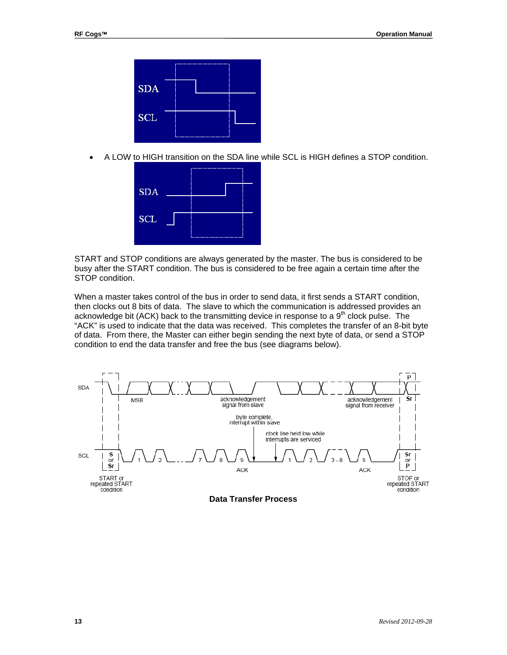

• A LOW to HIGH transition on the SDA line while SCL is HIGH defines a STOP condition.



START and STOP conditions are always generated by the master. The bus is considered to be busy after the START condition. The bus is considered to be free again a certain time after the STOP condition.

When a master takes control of the bus in order to send data, it first sends a START condition, then clocks out 8 bits of data. The slave to which the communication is addressed provides an acknowledge bit (ACK) back to the transmitting device in response to a  $9<sup>th</sup>$  clock pulse. The "ACK" is used to indicate that the data was received. This completes the transfer of an 8-bit byte of data. From there, the Master can either begin sending the next byte of data, or send a STOP condition to end the data transfer and free the bus (see diagrams below).



**Data Transfer Process**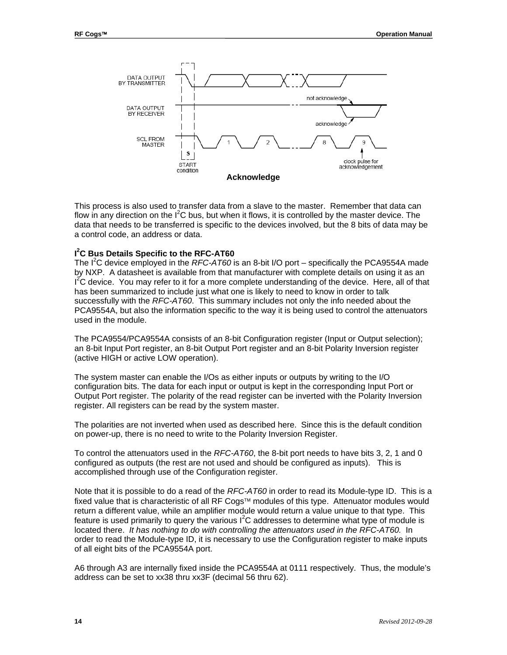

This process is also used to transfer data from a slave to the master. Remember that data can flow in any direction on the  $I^2C$  bus, but when it flows, it is controlled by the master device. The data that needs to be transferred is specific to the devices involved, but the 8 bits of data may be a control code, an address or data.

## **I 2 C Bus Details Specific to the RFC-AT60**

The I<sup>2</sup>C device employed in the *RFC-AT60* is an 8-bit I/O port – specifically the PCA9554A made by NXP. A datasheet is available from that manufacturer with complete details on using it as an  $I^2C$  device. You may refer to it for a more complete understanding of the device. Here, all of that has been summarized to include just what one is likely to need to know in order to talk successfully with the *RFC-AT60*. This summary includes not only the info needed about the PCA9554A, but also the information specific to the way it is being used to control the attenuators used in the module.

The PCA9554/PCA9554A consists of an 8-bit Configuration register (Input or Output selection); an 8-bit Input Port register, an 8-bit Output Port register and an 8-bit Polarity Inversion register (active HIGH or active LOW operation).

The system master can enable the I/Os as either inputs or outputs by writing to the I/O configuration bits. The data for each input or output is kept in the corresponding Input Port or Output Port register. The polarity of the read register can be inverted with the Polarity Inversion register. All registers can be read by the system master.

The polarities are not inverted when used as described here. Since this is the default condition on power-up, there is no need to write to the Polarity Inversion Register.

To control the attenuators used in the *RFC-AT60*, the 8-bit port needs to have bits 3, 2, 1 and 0 configured as outputs (the rest are not used and should be configured as inputs). This is accomplished through use of the Configuration register.

Note that it is possible to do a read of the *RFC-AT60* in order to read its Module-type ID. This is a fixed value that is characteristic of all RF Cogs™ modules of this type. Attenuator modules would return a different value, while an amplifier module would return a value unique to that type. This feature is used primarily to query the various  $I^2C$  addresses to determine what type of module is located there. *It has nothing to do with controlling the attenuators used in the RFC-AT60.* In order to read the Module-type ID, it is necessary to use the Configuration register to make inputs of all eight bits of the PCA9554A port.

A6 through A3 are internally fixed inside the PCA9554A at 0111 respectively. Thus, the module's address can be set to xx38 thru xx3F (decimal 56 thru 62).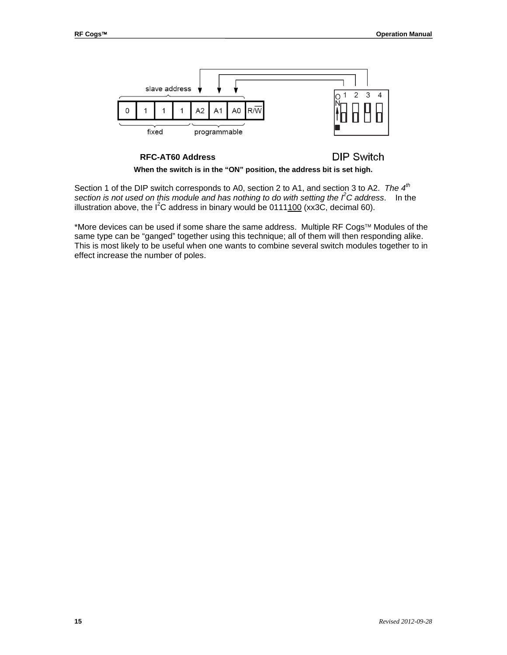

#### **RFC-AT60 Address**

## **DIP Switch**

**When the switch is in the "ON" position, the address bit is set high.**

Section 1 of the DIP switch corresponds to A0, section 2 to A1, and section 3 to A2. *The 4th section is not used on this module and has nothing to do with setting the I<sup>2</sup> C address*. In the illustration above, the I<sup>2</sup>C address in binary would be 0111100 (xx3C, decimal 60).

\*More devices can be used if some share the same address. Multiple RF Cogs<sup> $M$ </sup> Modules of the same type can be "ganged" together using this technique; all of them will then responding alike. This is most likely to be useful when one wants to combine several switch modules together to in effect increase the number of poles.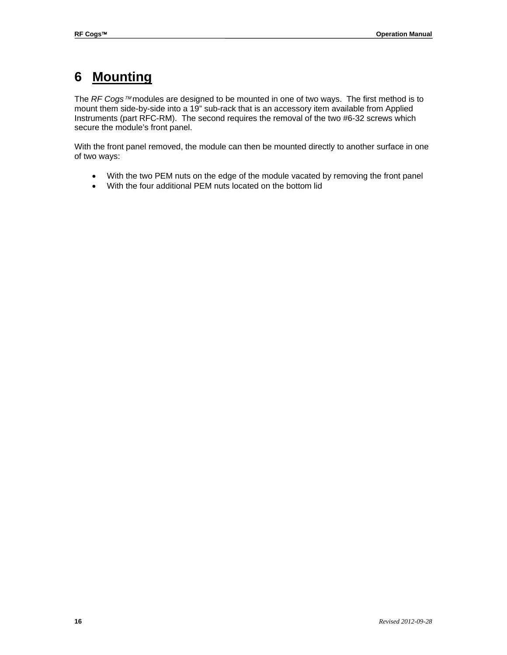## **6 Mounting**

The *RF Cogs™* modules are designed to be mounted in one of two ways. The first method is to mount them side-by-side into a 19" sub-rack that is an accessory item available from Applied Instruments (part RFC-RM). The second requires the removal of the two #6-32 screws which secure the module's front panel.

With the front panel removed, the module can then be mounted directly to another surface in one of two ways:

- With the two PEM nuts on the edge of the module vacated by removing the front panel
- With the four additional PEM nuts located on the bottom lid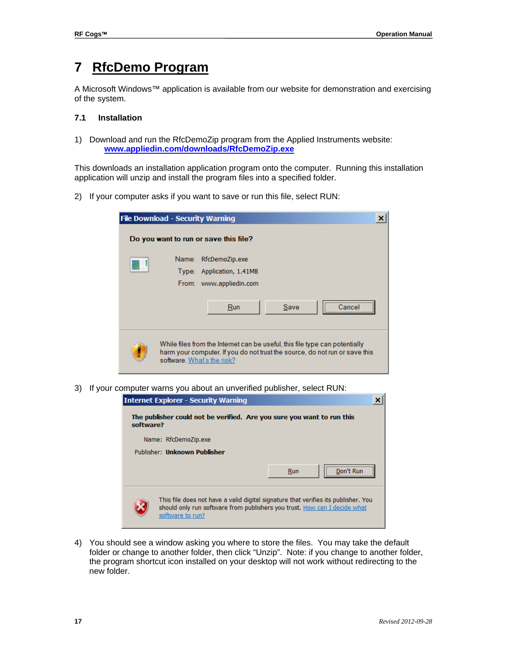## **7 RfcDemo Program**

A Microsoft Windows™ application is available from our website for demonstration and exercising of the system.

## **7.1 Installation**

1) Download and run the RfcDemoZip program from the Applied Instruments website: **[www.appliedin.com/downloads/RfcDemoZip.exe](http://www.appliedin.com/downloads/RfcDemoZip.exe)**

This downloads an installation application program onto the computer. Running this installation application will unzip and install the program files into a specified folder.

2) If your computer asks if you want to save or run this file, select RUN:

| <b>File Download - Security Warning</b> |                                                                                                                                                            |      |        |
|-----------------------------------------|------------------------------------------------------------------------------------------------------------------------------------------------------------|------|--------|
|                                         | Do you want to run or save this file?                                                                                                                      |      |        |
|                                         | Name: RfcDemoZip.exe                                                                                                                                       |      |        |
|                                         | Type: Application, 1.41MB                                                                                                                                  |      |        |
|                                         | From: www.appliedin.com                                                                                                                                    |      |        |
|                                         | Run                                                                                                                                                        | Save | Cancel |
| software. What's the risk?              | While files from the Internet can be useful, this file type can potentially<br>harm your computer. If you do not trust the source, do not run or save this |      |        |

3) If your computer warns you about an unverified publisher, select RUN:

|           | <b>Internet Explorer - Security Warning</b>                                                                                                                                         |  |
|-----------|-------------------------------------------------------------------------------------------------------------------------------------------------------------------------------------|--|
| software? | The publisher could not be verified. Are you sure you want to run this                                                                                                              |  |
|           | Name: RfcDemoZip.exe                                                                                                                                                                |  |
|           | Publisher: Unknown Publisher                                                                                                                                                        |  |
|           | Run                                                                                                                                                                                 |  |
|           | This file does not have a valid digital signature that verifies its publisher. You<br>should only run software from publishers you trust. How can I decide what<br>software to run? |  |

4) You should see a window asking you where to store the files. You may take the default folder or change to another folder, then click "Unzip". Note: if you change to another folder, the program shortcut icon installed on your desktop will not work without redirecting to the new folder.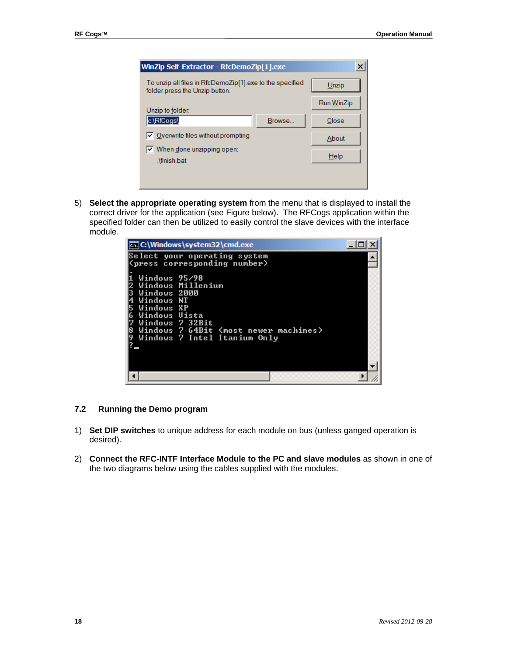| ×<br>WinZip Self-Extractor - RfcDemoZip[1].exe                                             |        |            |
|--------------------------------------------------------------------------------------------|--------|------------|
| To unzip all files in RfcDemoZip[1] exe to the specified<br>folder press the Unzip button. |        | Unzip      |
| Unzip to folder:                                                                           |        | Run WinZip |
| c:\RfCogs\                                                                                 | Browse | Close      |
| $\triangledown$ Overwrite files without prompting                                          |        | About      |
| $\nabla$ When done unzipping open:<br>.\finish.bat                                         |        | Help       |
|                                                                                            |        |            |

5) **Select the appropriate operating system** from the menu that is displayed to install the correct driver for the application (see Figure below). The RFCogs application within the specified folder can then be utilized to easily control the slave devices with the interface module.

| <b>EX C:\Windows\system32\cmd.exe</b>                                                                                                                                                       |  |
|---------------------------------------------------------------------------------------------------------------------------------------------------------------------------------------------|--|
| Select your operating system<br>(press corresponding number)                                                                                                                                |  |
| Windows 95/98<br>Windows Millenium<br>Windows 2000<br>Windows NT<br>Windows XP<br>Windows Uista<br>Windows 7 32Bit<br>Windows 7 64Bit (most newer machines)<br>Windows 7 Intel Itanium Only |  |
|                                                                                                                                                                                             |  |

### **7.2 Running the Demo program**

- 1) **Set DIP switches** to unique address for each module on bus (unless ganged operation is desired).
- 2) **Connect the RFC-INTF Interface Module to the PC and slave modules** as shown in one of the two diagrams below using the cables supplied with the modules.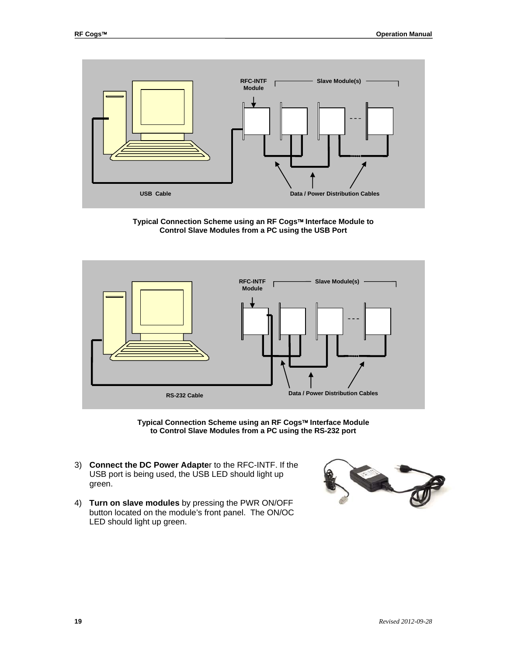

**Typical Connection Scheme using an RF Cogs Interface Module to Control Slave Modules from a PC using the USB Port**



**Typical Connection Scheme using an RF Cogs Interface Module to Control Slave Modules from a PC using the RS-232 port**

- 3) **Connect the DC Power Adapte**r to the RFC-INTF. If the USB port is being used, the USB LED should light up green.
- 4) **Turn on slave modules** by pressing the PWR ON/OFF button located on the module's front panel. The ON/OC LED should light up green.

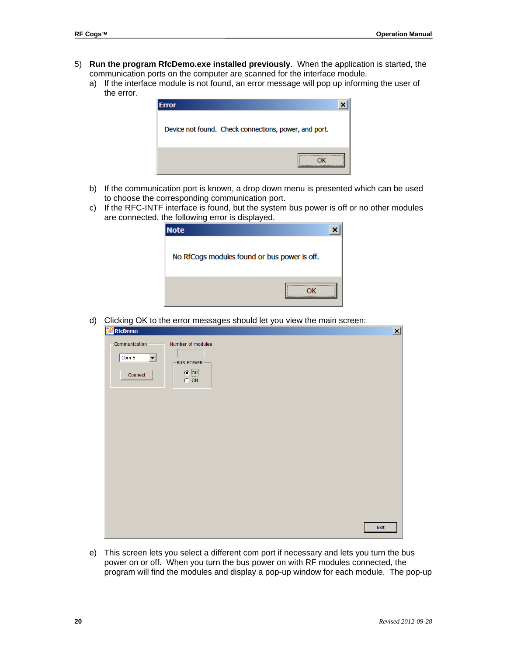- 5) **Run the program RfcDemo.exe installed previously**. When the application is started, the communication ports on the computer are scanned for the interface module.
	- a) If the interface module is not found, an error message will pop up informing the user of the error.

| Error                                                 |  |
|-------------------------------------------------------|--|
| Device not found. Check connections, power, and port. |  |
|                                                       |  |

- b) If the communication port is known, a drop down menu is presented which can be used to choose the corresponding communication port.
- c) If the RFC-INTF interface is found, but the system bus power is off or no other modules are connected, the following error is displayed.

| <b>Note</b>                                  |      |
|----------------------------------------------|------|
| No RfCogs modules found or bus power is off. |      |
|                                              | <br> |

d) Clicking OK to the error messages should let you view the main screen:

| <b>RE</b> RfcDemo                                           |                                                                     |      |
|-------------------------------------------------------------|---------------------------------------------------------------------|------|
| - Communication-<br>Com 5<br>$\vert \cdot \vert$<br>Connect | Number of modules<br><b>BUS POWER-</b><br>$\odot$ Off<br>$\odot$ ON |      |
|                                                             |                                                                     |      |
|                                                             |                                                                     |      |
|                                                             |                                                                     |      |
|                                                             |                                                                     |      |
|                                                             |                                                                     | Exit |

e) This screen lets you select a different com port if necessary and lets you turn the bus power on or off. When you turn the bus power on with RF modules connected, the program will find the modules and display a pop-up window for each module. The pop-up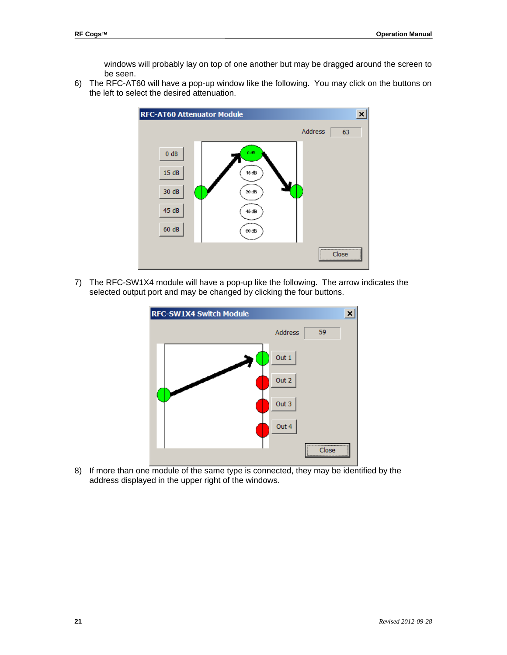windows will probably lay on top of one another but may be dragged around the screen to be seen.

6) The RFC-AT60 will have a pop-up window like the following. You may click on the buttons on the left to select the desired attenuation.



7) The RFC-SW1X4 module will have a pop-up like the following. The arrow indicates the selected output port and may be changed by clicking the four buttons.



8) If more than one module of the same type is connected, they may be identified by the address displayed in the upper right of the windows.